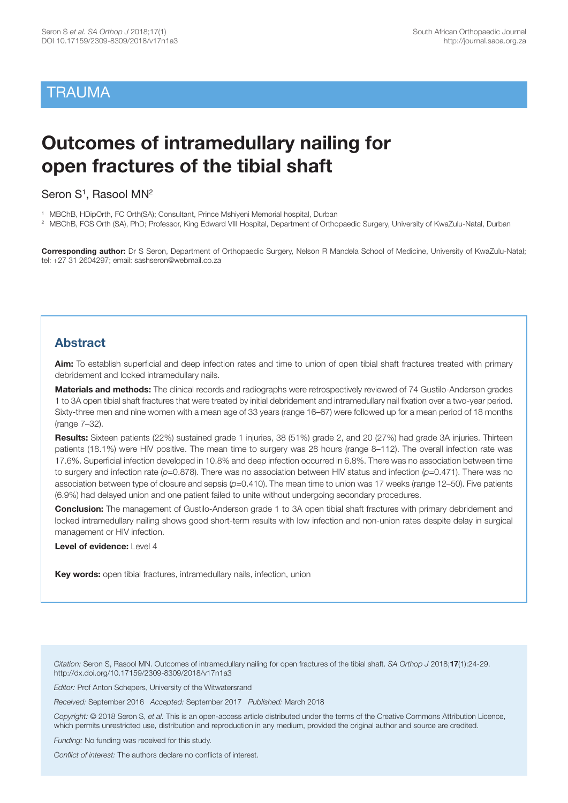# **TRAUMA**

# **Outcomes of intramedullary nailing for open fractures of the tibial shaft**

Seron S<sup>1</sup>, Rasool MN<sup>2</sup>

- 1 MBChB, HDipOrth, FC Orth(SA); Consultant, Prince Mshiyeni Memorial hospital, Durban
- <sup>2</sup> MBChB, FCS Orth (SA), PhD; Professor, King Edward VIII Hospital, Department of Orthopaedic Surgery, University of KwaZulu-Natal, Durban

**Corresponding author:** Dr S Seron, Department of Orthopaedic Surgery, Nelson R Mandela School of Medicine, University of KwaZulu-Natal; tel: +27 31 2604297; email: sashseron@webmail.co.za

# **Abstract**

**Aim:** To establish superficial and deep infection rates and time to union of open tibial shaft fractures treated with primary debridement and locked intramedullary nails.

**Materials and methods:** The clinical records and radiographs were retrospectively reviewed of 74 Gustilo-Anderson grades 1 to 3A open tibial shaft fractures that were treated by initial debridement and intramedullary nail fixation over a two-year period. Sixty-three men and nine women with a mean age of 33 years (range 16–67) were followed up for a mean period of 18 months (range 7–32).

**Results:** Sixteen patients (22%) sustained grade 1 injuries, 38 (51%) grade 2, and 20 (27%) had grade 3A injuries. Thirteen patients (18.1%) were HIV positive. The mean time to surgery was 28 hours (range 8–112). The overall infection rate was 17.6%. Superficial infection developed in 10.8% and deep infection occurred in 6.8%. There was no association between time to surgery and infection rate (*p*=0.878). There was no association between HIV status and infection (*p*=0.471). There was no association between type of closure and sepsis (p=0.410). The mean time to union was 17 weeks (range 12-50). Five patients (6.9%) had delayed union and one patient failed to unite without undergoing secondary procedures.

**Conclusion:** The management of Gustilo-Anderson grade 1 to 3A open tibial shaft fractures with primary debridement and locked intramedullary nailing shows good short-term results with low infection and non-union rates despite delay in surgical management or HIV infection.

**Level of evidence:** Level 4

**Key words:** open tibial fractures, intramedullary nails, infection, union

*Citation:* Seron S, Rasool MN. Outcomes of intramedullary nailing for open fractures of the tibial shaft. *SA Orthop J* 2018;**17**(1):24-29. http://dx.doi.org/10.17159/2309-8309/2018/v17n1a3

*Editor:* Prof Anton Schepers, University of the Witwatersrand

*Received:* September 2016 *Accepted:* September 2017 *Published:* March 2018

*Copyright:* © 2018 Seron S, *et al.* This is an open-access article distributed under the terms of the Creative Commons Attribution Licence, which permits unrestricted use, distribution and reproduction in any medium, provided the original author and source are credited.

*Funding:* No funding was received for this study.

*Conflict of interest:* The authors declare no conflicts of interest.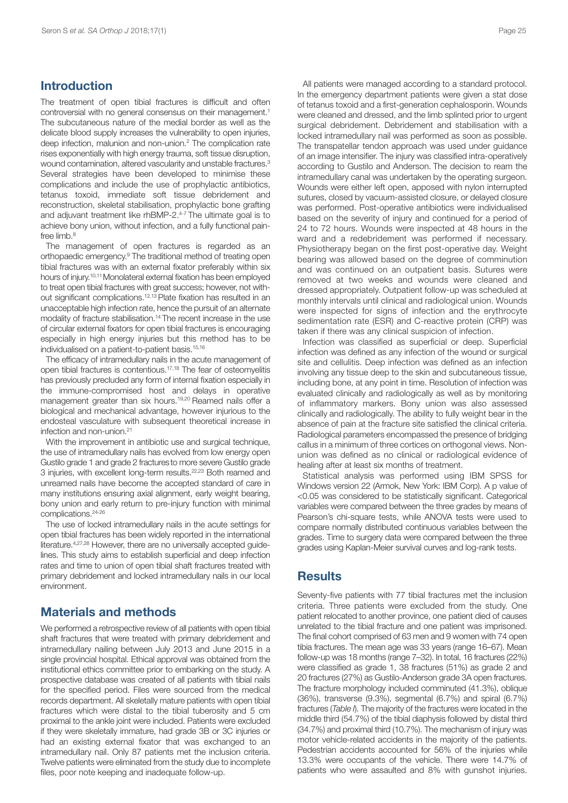# **Introduction**

The treatment of open tibial fractures is difficult and often controversial with no general consensus on their management. 1 The subcutaneous nature of the medial border as well as the delicate blood supply increases the vulnerability to open injuries, deep infection, malunion and non-union. <sup>2</sup> The complication rate rises exponentially with high energy trauma, soft tissue disruption, wound contamination, altered vascularity and unstable fractures.<sup>3</sup> Several strategies have been developed to minimise these complications and include the use of prophylactic antibiotics, tetanus toxoid, immediate soft tissue debridement and reconstruction, skeletal stabilisation, prophylactic bone grafting and adjuvant treatment like rhBMP-2. 4-7 The ultimate goal is to achieve bony union, without infection, and a fully functional painfree limb. 8

The management of open fractures is regarded as an orthopaedic emergency. <sup>9</sup> The traditional method of treating open tibial fractures was with an external fixator preferably within six hours of injury.<sup>10,11</sup> Monolateral external fixation has been employed to treat open tibial fractures with great success; however, not without significant complications. 12,13 Plate fixation has resulted in an unacceptable high infection rate, hence the pursuit of an alternate modality of fracture stabilisation. <sup>14</sup> The recent increase in the use of circular external fixators for open tibial fractures is encouraging especially in high energy injuries but this method has to be individualised on a patient-to-patient basis. 15,16

The efficacy of intramedullary nails in the acute management of open tibial fractures is contentious. 17,18 The fear of osteomyelitis has previously precluded any form of internal fixation especially in the immune-compromised host and delays in operative management greater than six hours. 19,20 Reamed nails offer a biological and mechanical advantage, however injurious to the endosteal vasculature with subsequent theoretical increase in infection and non-union. 21

With the improvement in antibiotic use and surgical technique. the use of intramedullary nails has evolved from low energy open Gustilo grade 1 and grade 2 fracturesto more severe Gustilo grade 3 injuries, with excellent long-term results.<sup>22,23</sup> Both reamed and unreamed nails have become the accepted standard of care in many institutions ensuring axial alignment, early weight bearing, bony union and early return to pre-injury function with minimal complications. 24-26

The use of locked intramedullary nails in the acute settings for open tibial fractures has been widely reported in the international literature.<sup>4,27,28</sup> However, there are no universally accepted guidelines. This study aims to establish superficial and deep infection rates and time to union of open tibial shaft fractures treated with primary debridement and locked intramedullary nails in our local environment.

# **Materials and methods**

We performed a retrospective review of all patients with open tibial shaft fractures that were treated with primary debridement and intramedullary nailing between July 2013 and June 2015 in a single provincial hospital. Ethical approval was obtained from the institutional ethics committee prior to embarking on the study. A prospective database was created of all patients with tibial nails for the specified period. Files were sourced from the medical records department. All skeletally mature patients with open tibial fractures which were distal to the tibial tuberosity and 5 cm proximal to the ankle joint were included. Patients were excluded if they were skeletally immature, had grade 3B or 3C injuries or had an existing external fixator that was exchanged to an intramedullary nail. Only 87 patients met the inclusion criteria. Twelve patients were eliminated from the study due to incomplete files, poor note keeping and inadequate follow-up.

All patients were managed according to a standard protocol. In the emergency department patients were given a stat dose of tetanus toxoid and a first-generation cephalosporin. Wounds were cleaned and dressed, and the limb splinted prior to urgent surgical debridement. Debridement and stabilisation with a locked intramedullary nail was performed as soon as possible. The transpatellar tendon approach was used under guidance of an image intensifier. The injury was classified intra-operatively according to Gustilo and Anderson. The decision to ream the intramedullary canal was undertaken by the operating surgeon. Wounds were either left open, apposed with nylon interrupted sutures, closed by vacuum-assisted closure, or delayed closure was performed. Post-operative antibiotics were individualised based on the severity of injury and continued for a period of 24 to 72 hours. Wounds were inspected at 48 hours in the ward and a redebridement was performed if necessary. Physiotherapy began on the first post-operative day. Weight bearing was allowed based on the degree of comminution and was continued on an outpatient basis. Sutures were removed at two weeks and wounds were cleaned and dressed appropriately. Outpatient follow-up was scheduled at monthly intervals until clinical and radiological union. Wounds were inspected for signs of infection and the erythrocyte sedimentation rate (ESR) and C-reactive protein (CRP) was taken if there was any clinical suspicion of infection.

Infection was classified as superficial or deep. Superficial infection was defined as any infection of the wound or surgical site and cellulitis. Deep infection was defined as an infection involving any tissue deep to the skin and subcutaneous tissue, including bone, at any point in time. Resolution of infection was evaluated clinically and radiologically as well as by monitoring of inflammatory markers. Bony union was also assessed clinically and radiologically. The ability to fully weight bear in the absence of pain at the fracture site satisfied the clinical criteria. Radiological parameters encompassed the presence of bridging callus in a minimum of three cortices on orthogonal views. Nonunion was defined as no clinical or radiological evidence of healing after at least six months of treatment.

Statistical analysis was performed using IBM SPSS for Windows version 22 (Armok, New York: IBM Corp). A p value of <0.05 was considered to be statistically significant. Categorical variables were compared between the three grades by means of Pearson's chi-square tests, while ANOVA tests were used to compare normally distributed continuous variables between the grades. Time to surgery data were compared between the three grades using Kaplan-Meier survival curves and log-rank tests.

## **Results**

Seventy-five patients with 77 tibial fractures met the inclusion criteria. Three patients were excluded from the study. One patient relocated to another province, one patient died of causes unrelated to the tibial fracture and one patient was imprisoned. The final cohort comprised of 63 men and 9 women with 74 open tibia fractures. The mean age was 33 years (range 16–67). Mean follow-up was 18 months (range 7–32). In total, 16 fractures (22%) were classified as grade 1, 38 fractures (51%) as grade 2 and 20 fractures (27%) as Gustilo-Anderson grade 3A open fractures. The fracture morphology included comminuted (41.3%), oblique (36%), transverse (9.3%), segmental (6.7%) and spiral (6.7%) fractures (*Table I*). The majority of the fractures were located in the middle third (54.7%) of the tibial diaphysis followed by distal third (34.7%) and proximal third (10.7%). The mechanism of injury was motor vehicle-related accidents in the majority of the patients. Pedestrian accidents accounted for 56% of the injuries while 13.3% were occupants of the vehicle. There were 14.7% of patients who were assaulted and 8% with gunshot injuries.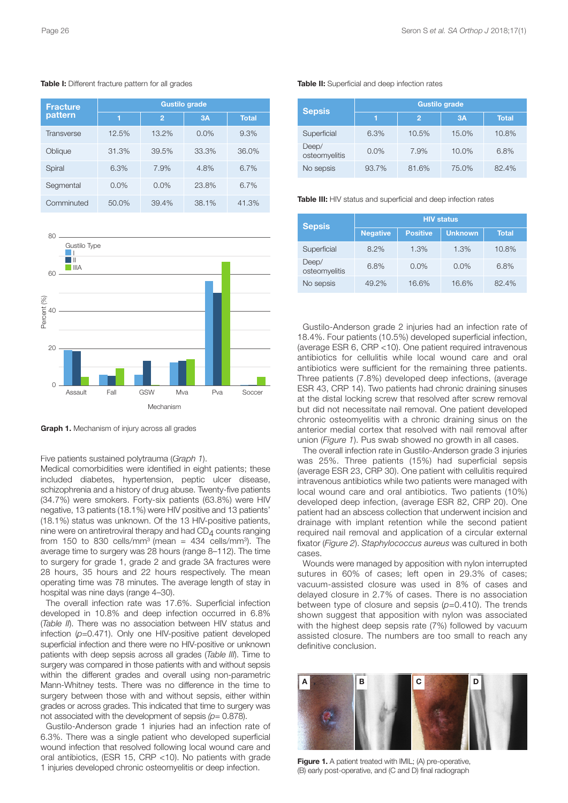**Table I:** Different fracture pattern for all grades

| <b>Fracture</b><br>pattern | <b>Gustilo grade</b> |                |           |              |
|----------------------------|----------------------|----------------|-----------|--------------|
|                            | 1                    | $\overline{2}$ | <b>3A</b> | <b>Total</b> |
| <b>Transverse</b>          | 12.5%                | 13.2%          | $0.0\%$   | 9.3%         |
| Oblique                    | 31.3%                | 39.5%          | 33.3%     | 36.0%        |
| Spiral                     | 6.3%                 | 7.9%           | 4.8%      | 6.7%         |
| Segmental                  | 0.0%                 | 0.0%           | 23.8%     | 6.7%         |
| Comminuted                 | 50.0%                | 39.4%          | 38.1%     | 41.3%        |



**Graph 1.** Mechanism of injury across all grades

Five patients sustained polytrauma (*Graph 1*).

Medical comorbidities were identified in eight patients; these included diabetes, hypertension, peptic ulcer disease, schizophrenia and a history of drug abuse. Twenty-five patients (34.7%) were smokers. Forty-six patients (63.8%) were HIV negative, 13 patients (18.1%) were HIV positive and 13 patients' (18.1%) status was unknown. Of the 13 HIV-positive patients, nine were on antiretroviral therapy and had  $CD<sub>4</sub>$  counts ranging from 150 to 830 cells/mm<sup>3</sup> (mean = 434 cells/mm<sup>3</sup>). The average time to surgery was 28 hours (range 8–112). The time to surgery for grade 1, grade 2 and grade 3A fractures were 28 hours, 35 hours and 22 hours respectively. The mean operating time was 78 minutes. The average length of stay in hospital was nine days (range 4–30).

The overall infection rate was 17.6%. Superficial infection developed in 10.8% and deep infection occurred in 6.8% (*Table II*). There was no association between HIV status and infection ( $p=0.471$ ). Only one HIV-positive patient developed superficial infection and there were no HIV-positive or unknown patients with deep sepsis across all grades (*Table III*). Time to surgery was compared in those patients with and without sepsis within the different grades and overall using non-parametric Mann-Whitney tests. There was no difference in the time to surgery between those with and without sepsis, either within grades or across grades. This indicated that time to surgery was not associated with the development of sepsis *(p*= 0.878).

Gustilo-Anderson grade 1 injuries had an infection rate of 6.3%. There was a single patient who developed superficial wound infection that resolved following local wound care and oral antibiotics, (ESR 15, CRP <10). No patients with grade 1 injuries developed chronic osteomyelitis or deep infection.

#### **Table II:** Superficial and deep infection rates

| <b>Sepsis</b>          | <b>Gustilo grade</b> |       |       |              |
|------------------------|----------------------|-------|-------|--------------|
|                        |                      | 2     | 3A    | <b>Total</b> |
| Superficial            | 6.3%                 | 10.5% | 15.0% | 10.8%        |
| Deep/<br>osteomyelitis | $0.0\%$              | 7.9%  | 10.0% | 6.8%         |
| No sepsis              | 93.7%                | 81.6% | 75.0% | 82.4%        |

**Table III:** HIV status and superficial and deep infection rates

| <b>Sepsis</b>          | <b>HIV</b> status |                 |                |       |
|------------------------|-------------------|-----------------|----------------|-------|
|                        | <b>Negative</b>   | <b>Positive</b> | <b>Unknown</b> | Total |
| Superficial            | 8.2%              | 1.3%            | 1.3%           | 10.8% |
| Deep/<br>osteomyelitis | 6.8%              | 0.0%            | 0.0%           | 6.8%  |
| No sepsis              | 49.2%             | 16.6%           | 16.6%          | 82.4% |

Gustilo-Anderson grade 2 injuries had an infection rate of 18.4%. Four patients (10.5%) developed superficial infection, (average ESR 6, CRP <10). One patient required intravenous antibiotics for cellulitis while local wound care and oral antibiotics were sufficient for the remaining three patients. Three patients (7.8%) developed deep infections, (average ESR 43, CRP 14). Two patients had chronic draining sinuses at the distal locking screw that resolved after screw removal but did not necessitate nail removal. One patient developed chronic osteomyelitis with a chronic draining sinus on the anterior medial cortex that resolved with nail removal after union (*Figure 1*). Pus swab showed no growth in all cases.

The overall infection rate in Gustilo-Anderson grade 3 injuries was 25%. Three patients (15%) had superficial sepsis (average ESR 23, CRP 30). One patient with cellulitis required intravenous antibiotics while two patients were managed with local wound care and oral antibiotics. Two patients (10%) developed deep infection, (average ESR 82, CRP 20). One patient had an abscess collection that underwent incision and drainage with implant retention while the second patient required nail removal and application of a circular external fixator (*Figure 2*). *Staphylococcus aureus* was cultured in both cases.

Wounds were managed by apposition with nylon interrupted sutures in 60% of cases; left open in 29.3% of cases; vacuum-assisted closure was used in 8% of cases and delayed closure in 2.7% of cases. There is no association between type of closure and sepsis (*p*=0.410). The trends shown suggest that apposition with nylon was associated with the highest deep sepsis rate (7%) followed by vacuum assisted closure. The numbers are too small to reach any definitive conclusion.



**Figure 1.** A patient treated with IMIL; (A) pre-operative, (B) early post-operative, and (C and D) final radiograph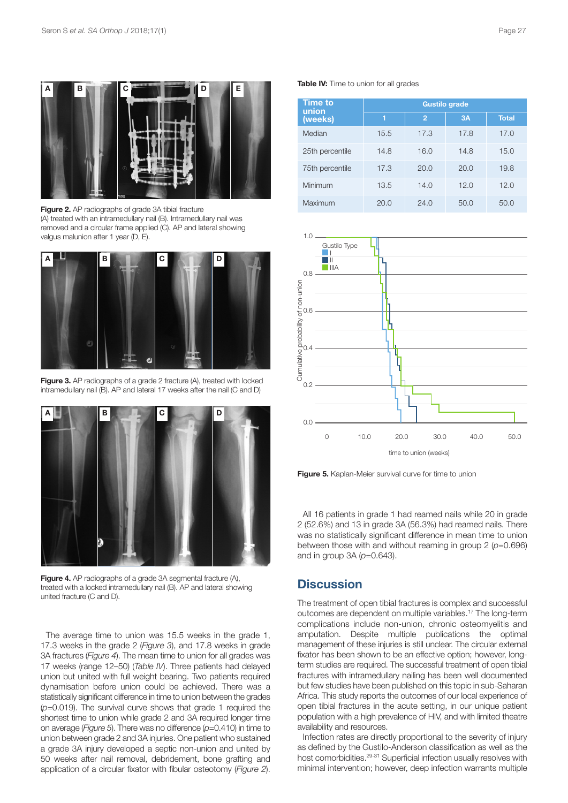

**Figure 2.** AP radiographs of grade 3A tibial fracture (A) treated with an intramedullary nail (B). Intramedullary nail was removed and a circular frame applied (C). AP and lateral showing valgus malunion after 1 year (D, E).



**Figure 3.** AP radiographs of a grade 2 fracture (A), treated with locked intramedullary nail (B). AP and lateral 17 weeks after the nail (C and D)



**Figure 4.** AP radiographs of a grade 3A segmental fracture (A), treated with a locked intramedullary nail (B). AP and lateral showing united fracture (C and D).

The average time to union was 15.5 weeks in the grade 1, 17.3 weeks in the grade 2 (*Figure 3*), and 17.8 weeks in grade 3A fractures (*Figure 4*). The mean time to union for all grades was 17 weeks (range 12–50) (*Table IV*). Three patients had delayed union but united with full weight bearing. Two patients required dynamisation before union could be achieved. There was a statistically significant difference in time to union between the grades (*p*=0.019). The survival curve shows that grade 1 required the shortest time to union while grade 2 and 3A required longer time on average (*Figure 5*). There was no difference (*p*=0.410) in time to union between grade 2 and 3A injuries. One patient who sustained a grade 3A injury developed a septic non-union and united by 50 weeks after nail removal, debridement, bone grafting and application of a circular fixator with fibular osteotomy (*Figure 2*).

**Table IV:** Time to union for all grades

| <b>Time to</b><br>union | <b>Gustilo grade</b> |                |      |              |
|-------------------------|----------------------|----------------|------|--------------|
| (weeks)                 | 1                    | $\overline{2}$ | 3A   | <b>Total</b> |
| Median                  | 15.5                 | 17.3           | 17.8 | 17.0         |
| 25th percentile         | 14.8                 | 16.0           | 14.8 | 15.0         |
| 75th percentile         | 17.3                 | 20.0           | 20.0 | 19.8         |
| Minimum                 | 13.5                 | 14.0           | 12.0 | 12.0         |
| Maximum                 | 20.0                 | 24.0           | 50.0 | 50.0         |



**Figure 5.** Kaplan-Meier survival curve for time to union

All 16 patients in grade 1 had reamed nails while 20 in grade 2 (52.6%) and 13 in grade 3A (56.3%) had reamed nails. There was no statistically significant difference in mean time to union between those with and without reaming in group 2 (*p*=0.696) and in group 3A (*p*=0.643).

# **Discussion**

The treatment of open tibial fractures is complex and successful outcomes are dependent on multiple variables. <sup>17</sup> The long-term complications include non-union, chronic osteomyelitis and amputation. Despite multiple publications the optimal management of these injuries is still unclear. The circular external fixator has been shown to be an effective option; however, longterm studies are required. The successful treatment of open tibial fractures with intramedullary nailing has been well documented but few studies have been published on this topic in sub-Saharan Africa. This study reports the outcomes of our local experience of open tibial fractures in the acute setting, in our unique patient population with a high prevalence of HIV, and with limited theatre availability and resources.

Infection rates are directly proportional to the severity of injury as defined by the Gustilo-Anderson classification as well as the host comorbidities.<sup>29-31</sup> Superficial infection usually resolves with minimal intervention; however, deep infection warrants multiple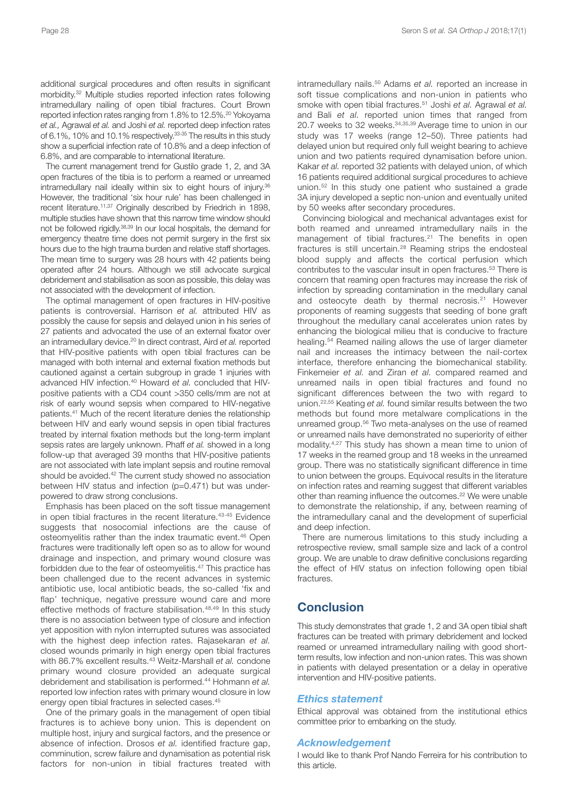additional surgical procedures and often results in significant morbidity. <sup>32</sup> Multiple studies reported infection rates following intramedullary nailing of open tibial fractures. Court Brown reported infection rates ranging from 1.8% to 12.5%. <sup>20</sup> Yokoyama *et al.,* Agrawal *et al.* and Joshi *et al.* reported deep infection rates of 6.1%, 10% and 10.1% respectively.<sup>33-35</sup> The results in this study show a superficial infection rate of 10.8% and a deep infection of 6.8%, and are comparable to international literature.

The current management trend for Gustilo grade 1, 2, and 3A open fractures of the tibia is to perform a reamed or unreamed intramedullary nail ideally within six to eight hours of injury. 36 However, the traditional 'six hour rule' has been challenged in recent literature.<sup>11,37</sup> Originally described by Friedrich in 1898, multiple studies have shown that this narrow time window should not be followed rigidly. 38,39 In our local hospitals, the demand for emergency theatre time does not permit surgery in the first six hours due to the high trauma burden and relative staff shortages. The mean time to surgery was 28 hours with 42 patients being operated after 24 hours. Although we still advocate surgical debridement and stabilisation as soon as possible, this delay was not associated with the development of infection.

The optimal management of open fractures in HIV-positive patients is controversial. Harrison *et al.* attributed HIV as possibly the cause for sepsis and delayed union in his series of 27 patients and advocated the use of an external fixator over an intramedullary device. <sup>20</sup> In direct contrast, Aird *et al.* reported that HIV-positive patients with open tibial fractures can be managed with both internal and external fixation methods but cautioned against a certain subgroup in grade 1 injuries with advanced HIV infection.<sup>40</sup> Howard et al. concluded that HIVpositive patients with a CD4 count >350 cells/mm are not at risk of early wound sepsis when compared to HIV-negative patients. <sup>41</sup> Much of the recent literature denies the relationship between HIV and early wound sepsis in open tibial fractures treated by internal fixation methods but the long-term implant sepsis rates are largely unknown. Phaff *et al.* showed in a long follow-up that averaged 39 months that HIV-positive patients are not associated with late implant sepsis and routine removal should be avoided. <sup>42</sup> The current study showed no association between HIV status and infection (p=0.471) but was underpowered to draw strong conclusions.

Emphasis has been placed on the soft tissue management in open tibial fractures in the recent literature. 43-45 Evidence suggests that nosocomial infections are the cause of osteomyelitis rather than the index traumatic event. <sup>46</sup> Open fractures were traditionally left open so as to allow for wound drainage and inspection, and primary wound closure was forbidden due to the fear of osteomyelitis. <sup>47</sup> This practice has been challenged due to the recent advances in systemic antibiotic use, local antibiotic beads, the so-called 'fix and flap' technique, negative pressure wound care and more effective methods of fracture stabilisation. 48,49 In this study there is no association between type of closure and infection yet apposition with nylon interrupted sutures was associated with the highest deep infection rates. Rajasekaran *et al.* closed wounds primarily in high energy open tibial fractures with 86.7% excellent results. <sup>43</sup> Weitz-Marshall *et al.* condone primary wound closure provided an adequate surgical debridement and stabilisation is performed. <sup>44</sup> Hohmann *et al.* reported low infection rates with primary wound closure in low energy open tibial fractures in selected cases. 45

One of the primary goals in the management of open tibial fractures is to achieve bony union. This is dependent on multiple host, injury and surgical factors, and the presence or absence of infection. Drosos *et al.* identified fracture gap, comminution, screw failure and dynamisation as potential risk factors for non-union in tibial fractures treated with

intramedullary nails. <sup>50</sup> Adams *et al.* reported an increase in soft tissue complications and non-union in patients who smoke with open tibial fractures. <sup>51</sup> Joshi *et al.* Agrawal *et al.* and Bali *et al.* reported union times that ranged from 20.7 weeks to 32 weeks. 34,35,39 Average time to union in our study was 17 weeks (range 12–50). Three patients had delayed union but required only full weight bearing to achieve union and two patients required dynamisation before union. Kakar *et al.* reported 32 patients with delayed union, of which 16 patients required additional surgical procedures to achieve union. <sup>52</sup> In this study one patient who sustained a grade 3A injury developed a septic non-union and eventually united by 50 weeks after secondary procedures.

Convincing biological and mechanical advantages exist for both reamed and unreamed intramedullary nails in the management of tibial fractures. <sup>21</sup> The benefits in open fractures is still uncertain. <sup>28</sup> Reaming strips the endosteal blood supply and affects the cortical perfusion which contributes to the vascular insult in open fractures. <sup>53</sup> There is concern that reaming open fractures may increase the risk of infection by spreading contamination in the medullary canal and osteocyte death by thermal necrosis. <sup>21</sup> However proponents of reaming suggests that seeding of bone graft throughout the medullary canal accelerates union rates by enhancing the biological milieu that is conducive to fracture healing. <sup>54</sup> Reamed nailing allows the use of larger diameter nail and increases the intimacy between the nail-cortex interface, therefore enhancing the biomechanical stability. Finkemeier *et al.* and Ziran *et al.* compared reamed and unreamed nails in open tibial fractures and found no significant differences between the two with regard to union. 22,55 Keating *et al.* found similar results between the two methods but found more metalware complications in the unreamed group. <sup>56</sup> Two meta-analyses on the use of reamed or unreamed nails have demonstrated no superiority of either modality. 4,27 This study has shown a mean time to union of 17 weeks in the reamed group and 18 weeks in the unreamed group. There was no statistically significant difference in time to union between the groups. Equivocal results in the literature on infection rates and reaming suggest that different variables other than reaming influence the outcomes. <sup>22</sup> We were unable to demonstrate the relationship, if any, between reaming of the intramedullary canal and the development of superficial and deep infection.

There are numerous limitations to this study including a retrospective review, small sample size and lack of a control group. We are unable to draw definitive conclusions regarding the effect of HIV status on infection following open tibial fractures.

## **Conclusion**

This study demonstrates that grade 1, 2 and 3A open tibial shaft fractures can be treated with primary debridement and locked reamed or unreamed intramedullary nailing with good shortterm results, low infection and non-union rates. This was shown in patients with delayed presentation or a delay in operative intervention and HIV-positive patients.

#### *Ethics statement*

Ethical approval was obtained from the institutional ethics committee prior to embarking on the study.

### *Acknowledgement*

I would like to thank Prof Nando Ferreira for his contribution to this article.